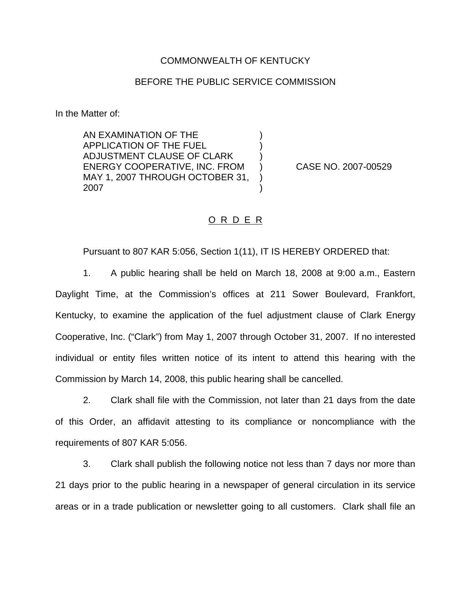## COMMONWEALTH OF KENTUCKY

## BEFORE THE PUBLIC SERVICE COMMISSION

) ) )

) )

In the Matter of:

AN EXAMINATION OF THE APPLICATION OF THE FUEL ADJUSTMENT CLAUSE OF CLARK ENERGY COOPERATIVE, INC. FROM MAY 1, 2007 THROUGH OCTOBER 31, 2007

) CASE NO. 2007-00529

## O R D E R

Pursuant to 807 KAR 5:056, Section 1(11), IT IS HEREBY ORDERED that:

1. A public hearing shall be held on March 18, 2008 at 9:00 a.m., Eastern Daylight Time, at the Commission's offices at 211 Sower Boulevard, Frankfort, Kentucky, to examine the application of the fuel adjustment clause of Clark Energy Cooperative, Inc. ("Clark") from May 1, 2007 through October 31, 2007. If no interested individual or entity files written notice of its intent to attend this hearing with the Commission by March 14, 2008, this public hearing shall be cancelled.

2. Clark shall file with the Commission, not later than 21 days from the date of this Order, an affidavit attesting to its compliance or noncompliance with the requirements of 807 KAR 5:056.

3. Clark shall publish the following notice not less than 7 days nor more than 21 days prior to the public hearing in a newspaper of general circulation in its service areas or in a trade publication or newsletter going to all customers. Clark shall file an